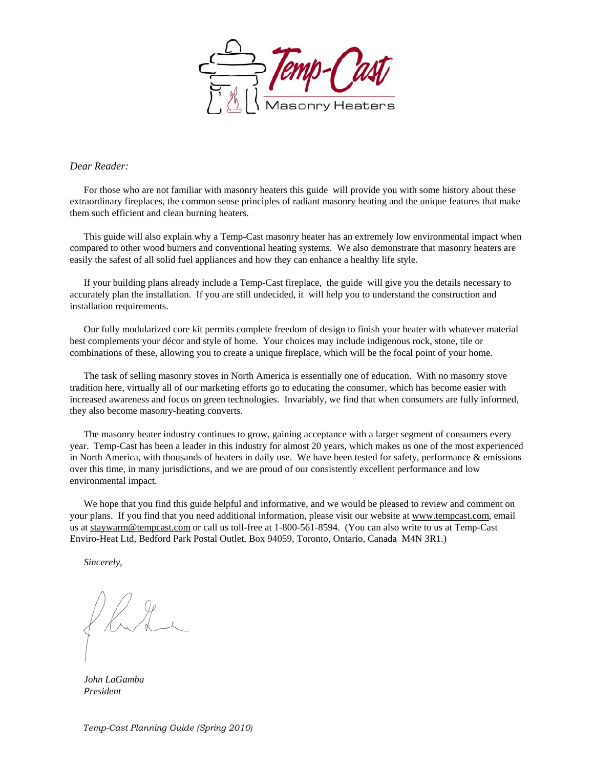

#### *Dear Reader:*

For those who are not familiar with masonry heaters this guide will provide you with some history about these extraordinary fireplaces, the common sense principles of radiant masonry heating and the unique features that make them such efficient and clean burning heaters.

This guide will also explain why a Temp-Cast masonry heater has an extremely low environmental impact when compared to other wood burners and conventional heating systems. We also demonstrate that masonry heaters are easily the safest of all solid fuel appliances and how they can enhance a healthy life style.

If your building plans already include a Temp-Cast fireplace, the guide will give you the details necessary to accurately plan the installation. If you are still undecided, it will help you to understand the construction and installation requirements.

Our fully modularized core kit permits complete freedom of design to finish your heater with whatever material best complements your décor and style of home. Your choices may include indigenous rock, stone, tile or combinations of these, allowing you to create a unique fireplace, which will be the focal point of your home.

The task of selling masonry stoves in North America is essentially one of education. With no masonry stove tradition here, virtually all of our marketing efforts go to educating the consumer, which has become easier with increased awareness and focus on green technologies. Invariably, we find that when consumers are fully informed, they also become masonry-heating converts.

The masonry heater industry continues to grow, gaining acceptance with a larger segment of consumers every year. Temp-Cast has been a leader in this industry for almost 20 years, which makes us one of the most experienced in North America, with thousands of heaters in daily use. We have been tested for safety, performance  $\&$  emissions over this time, in many jurisdictions, and we are proud of our consistently excellent performance and low environmental impact.

We hope that you find this guide helpful and informative, and we would be pleased to review and comment on your plans. If you find that you need additional information, please visit our website at www.tempcast.com, email us at staywarm@tempcast.com or call us toll-free at 1-800-561-8594. (You can also write to us at Temp-Cast Enviro-Heat Ltd, Bedford Park Postal Outlet, Box 94059, Toronto, Ontario, Canada M4N 3R1.)

*Sincerely,* 

*John LaGamba President*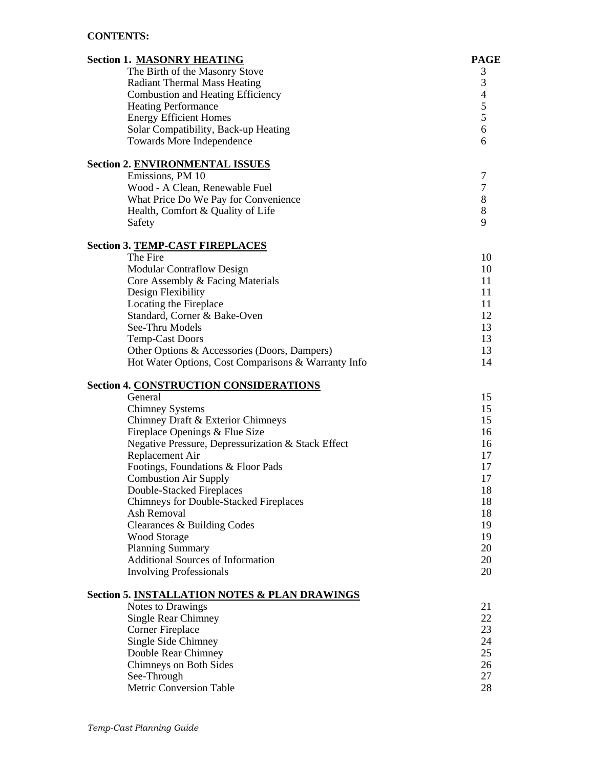## **CONTENTS:**

| <b>Section 1. MASONRY HEATING</b>                        | <b>PAGE</b>      |
|----------------------------------------------------------|------------------|
| The Birth of the Masonry Stove                           | 3                |
| <b>Radiant Thermal Mass Heating</b>                      | $\mathfrak{Z}$   |
| <b>Combustion and Heating Efficiency</b>                 | $\overline{4}$   |
| <b>Heating Performance</b>                               | 5                |
| <b>Energy Efficient Homes</b>                            | 5                |
| Solar Compatibility, Back-up Heating                     | 6                |
| Towards More Independence                                | 6                |
|                                                          |                  |
| <b>Section 2. ENVIRONMENTAL ISSUES</b>                   |                  |
| Emissions, PM 10                                         | 7                |
| Wood - A Clean, Renewable Fuel                           | $\boldsymbol{7}$ |
| What Price Do We Pay for Convenience                     | $\,8\,$          |
| Health, Comfort & Quality of Life                        | $\,8\,$          |
| Safety                                                   | 9                |
| <b>Section 3. TEMP-CAST FIREPLACES</b>                   |                  |
| The Fire                                                 | 10               |
| <b>Modular Contraflow Design</b>                         | 10               |
| Core Assembly & Facing Materials                         | 11               |
| Design Flexibility                                       | 11               |
| Locating the Fireplace                                   | 11               |
| Standard, Corner & Bake-Oven                             | 12               |
| See-Thru Models                                          | 13               |
| <b>Temp-Cast Doors</b>                                   | 13               |
| Other Options & Accessories (Doors, Dampers)             | 13               |
| Hot Water Options, Cost Comparisons & Warranty Info      | 14               |
|                                                          |                  |
| <b>Section 4. CONSTRUCTION CONSIDERATIONS</b><br>General | 15               |
| <b>Chimney Systems</b>                                   | 15               |
| Chimney Draft & Exterior Chimneys                        | 15               |
| Fireplace Openings & Flue Size                           | 16               |
| Negative Pressure, Depressurization & Stack Effect       | 16               |
| Replacement Air                                          | 17               |
| Footings, Foundations & Floor Pads                       | 17               |
| <b>Combustion Air Supply</b>                             | 17               |
| Double-Stacked Fireplaces                                | 18               |
| <b>Chimneys for Double-Stacked Fireplaces</b>            | 18               |
| Ash Removal                                              | 18               |
| Clearances & Building Codes                              | 19               |
| <b>Wood Storage</b>                                      | 19               |
| <b>Planning Summary</b>                                  | 20               |
| <b>Additional Sources of Information</b>                 | 20               |
| <b>Involving Professionals</b>                           | 20               |
|                                                          |                  |
| Section 5. INSTALLATION NOTES & PLAN DRAWINGS            |                  |
| Notes to Drawings                                        | 21               |
| <b>Single Rear Chimney</b>                               | 22               |
| <b>Corner Fireplace</b>                                  | 23               |
| Single Side Chimney                                      | 24               |
| Double Rear Chimney                                      | 25               |
| Chimneys on Both Sides                                   | 26               |
| See-Through<br>Metric Conversion Table                   | 27<br>28         |
|                                                          |                  |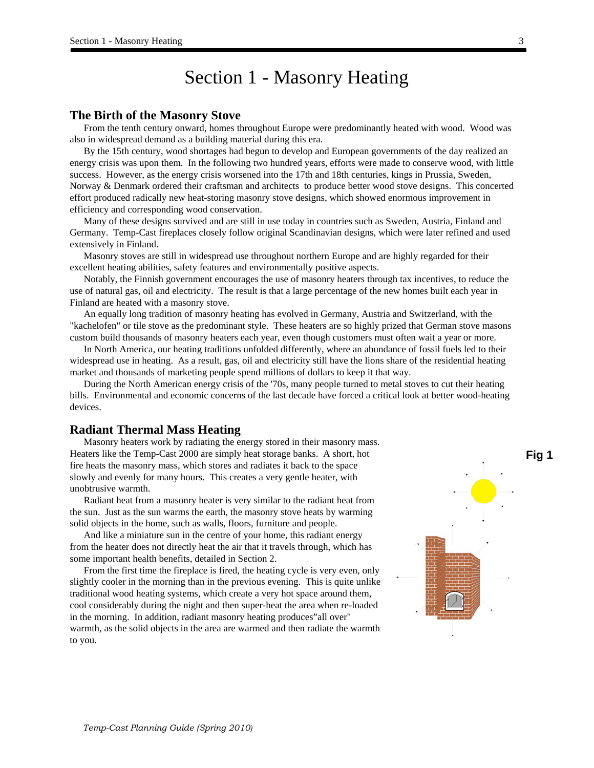## Section 1 - Masonry Heating

#### **The Birth of the Masonry Stove**

From the tenth century onward, homes throughout Europe were predominantly heated with wood. Wood was also in widespread demand as a building material during this era.

By the 15th century, wood shortages had begun to develop and European governments of the day realized an energy crisis was upon them. In the following two hundred years, efforts were made to conserve wood, with little success. However, as the energy crisis worsened into the 17th and 18th centuries, kings in Prussia, Sweden, Norway & Denmark ordered their craftsman and architects to produce better wood stove designs. This concerted effort produced radically new heat-storing masonry stove designs, which showed enormous improvement in efficiency and corresponding wood conservation.

Many of these designs survived and are still in use today in countries such as Sweden, Austria, Finland and Germany. Temp-Cast fireplaces closely follow original Scandinavian designs, which were later refined and used extensively in Finland.

Masonry stoves are still in widespread use throughout northern Europe and are highly regarded for their excellent heating abilities, safety features and environmentally positive aspects.

Notably, the Finnish government encourages the use of masonry heaters through tax incentives, to reduce the use of natural gas, oil and electricity. The result is that a large percentage of the new homes built each year in Finland are heated with a masonry stove.

An equally long tradition of masonry heating has evolved in Germany, Austria and Switzerland, with the "kachelofen" or tile stove as the predominant style. These heaters are so highly prized that German stove masons custom build thousands of masonry heaters each year, even though customers must often wait a year or more.

In North America, our heating traditions unfolded differently, where an abundance of fossil fuels led to their widespread use in heating. As a result, gas, oil and electricity still have the lions share of the residential heating market and thousands of marketing people spend millions of dollars to keep it that way.

During the North American energy crisis of the '70s, many people turned to metal stoves to cut their heating bills. Environmental and economic concerns of the last decade have forced a critical look at better wood-heating devices.

#### **Radiant Thermal Mass Heating**

Masonry heaters work by radiating the energy stored in their masonry mass. Heaters like the Temp-Cast 2000 are simply heat storage banks. A short, hot fire heats the masonry mass, which stores and radiates it back to the space slowly and evenly for many hours. This creates a very gentle heater, with unobtrusive warmth.

Radiant heat from a masonry heater is very similar to the radiant heat from the sun. Just as the sun warms the earth, the masonry stove heats by warming solid objects in the home, such as walls, floors, furniture and people.

And like a miniature sun in the centre of your home, this radiant energy from the heater does not directly heat the air that it travels through, which has some important health benefits, detailed in Section 2.

From the first time the fireplace is fired, the heating cycle is very even, only slightly cooler in the morning than in the previous evening. This is quite unlike traditional wood heating systems, which create a very hot space around them, cool considerably during the night and then super-heat the area when re-loaded in the morning. In addition, radiant masonry heating produces"all over" warmth, as the solid objects in the area are warmed and then radiate the warmth to you.

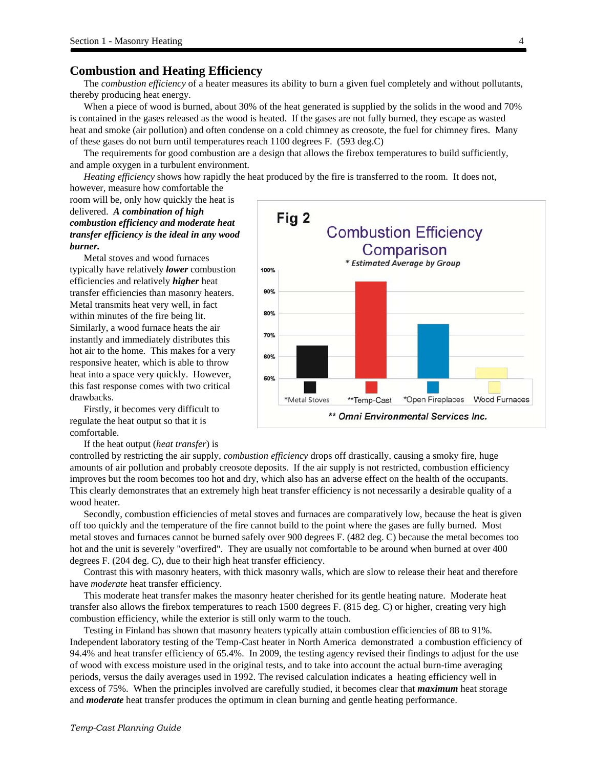### **Combustion and Heating Efficiency**

The *combustion efficiency* of a heater measures its ability to burn a given fuel completely and without pollutants, thereby producing heat energy.

When a piece of wood is burned, about 30% of the heat generated is supplied by the solids in the wood and 70% is contained in the gases released as the wood is heated. If the gases are not fully burned, they escape as wasted heat and smoke (air pollution) and often condense on a cold chimney as creosote, the fuel for chimney fires. Many of these gases do not burn until temperatures reach 1100 degrees F. (593 deg.C)

The requirements for good combustion are a design that allows the firebox temperatures to build sufficiently, and ample oxygen in a turbulent environment.

*Heating efficiency* shows how rapidly the heat produced by the fire is transferred to the room. It does not, however, measure how comfortable the

## room will be, only how quickly the heat is delivered. *A combination of high combustion efficiency and moderate heat transfer efficiency is the ideal in any wood burner.*

Metal stoves and wood furnaces typically have relatively *lower* combustion efficiencies and relatively *higher* heat transfer efficiencies than masonry heaters. Metal transmits heat very well, in fact within minutes of the fire being lit. Similarly, a wood furnace heats the air instantly and immediately distributes this hot air to the home. This makes for a very responsive heater, which is able to throw heat into a space very quickly. However, this fast response comes with two critical drawbacks.

Firstly, it becomes very difficult to regulate the heat output so that it is comfortable.

If the heat output (*heat transfer*) is

controlled by restricting the air supply, *combustion efficiency* drops off drastically, causing a smoky fire, huge amounts of air pollution and probably creosote deposits. If the air supply is not restricted, combustion efficiency improves but the room becomes too hot and dry, which also has an adverse effect on the health of the occupants. This clearly demonstrates that an extremely high heat transfer efficiency is not necessarily a desirable quality of a wood heater.

Secondly, combustion efficiencies of metal stoves and furnaces are comparatively low, because the heat is given off too quickly and the temperature of the fire cannot build to the point where the gases are fully burned. Most metal stoves and furnaces cannot be burned safely over 900 degrees F. (482 deg. C) because the metal becomes too hot and the unit is severely "overfired". They are usually not comfortable to be around when burned at over 400 degrees F. (204 deg. C), due to their high heat transfer efficiency.

Contrast this with masonry heaters, with thick masonry walls, which are slow to release their heat and therefore have *moderate* heat transfer efficiency.

This moderate heat transfer makes the masonry heater cherished for its gentle heating nature. Moderate heat transfer also allows the firebox temperatures to reach 1500 degrees F. (815 deg. C) or higher, creating very high combustion efficiency, while the exterior is still only warm to the touch.

Testing in Finland has shown that masonry heaters typically attain combustion efficiencies of 88 to 91%. Independent laboratory testing of the Temp-Cast heater in North America demonstrated a combustion efficiency of 94.4% and heat transfer efficiency of 65.4%. In 2009, the testing agency revised their findings to adjust for the use of wood with excess moisture used in the original tests, and to take into account the actual burn-time averaging periods, versus the daily averages used in 1992. The revised calculation indicates a heating efficiency well in excess of 75%. When the principles involved are carefully studied, it becomes clear that *maximum* heat storage and *moderate* heat transfer produces the optimum in clean burning and gentle heating performance.

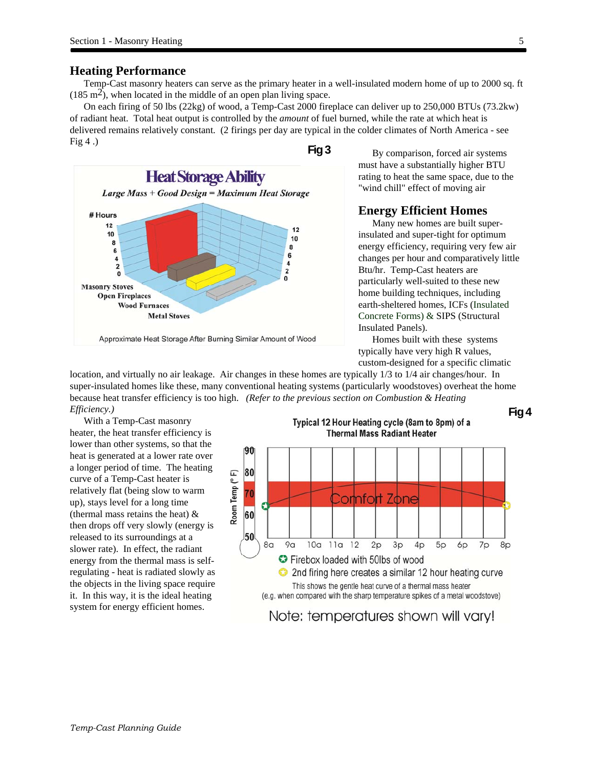### **Heating Performance**

Temp-Cast masonry heaters can serve as the primary heater in a well-insulated modern home of up to 2000 sq. ft  $(185 \text{ m}^2)$ , when located in the middle of an open plan living space.

On each firing of 50 lbs (22kg) of wood, a Temp-Cast 2000 fireplace can deliver up to 250,000 BTUs (73.2kw) of radiant heat. Total heat output is controlled by the *amount* of fuel burned, while the rate at which heat is delivered remains relatively constant. (2 firings per day are typical in the colder climates of North America - see Fig  $4$ .)



By comparison, forced air systems must have a substantially higher BTU rating to heat the same space, due to the "wind chill" effect of moving air

## **Energy Efficient Homes**

Many new homes are built superinsulated and super-tight for optimum energy efficiency, requiring very few air changes per hour and comparatively little Btu/hr. Temp-Cast heaters are particularly well-suited to these new home building techniques, including earth-sheltered homes, ICFs (Insulated Concrete Forms) & SIPS (Structural Insulated Panels).

Homes built with these systems typically have very high R values, custom-designed for a specific climatic

location, and virtually no air leakage. Air changes in these homes are typically 1/3 to 1/4 air changes/hour. In super-insulated homes like these, many conventional heating systems (particularly woodstoves) overheat the home because heat transfer efficiency is too high. *(Refer to the previous section on Combustion & Heating Efficiency.)*  **Fig 4** 

With a Temp-Cast masonry heater, the heat transfer efficiency is lower than other systems, so that the heat is generated at a lower rate over a longer period of time. The heating curve of a Temp-Cast heater is relatively flat (being slow to warm up), stays level for a long time (thermal mass retains the heat) & then drops off very slowly (energy is released to its surroundings at a slower rate). In effect, the radiant energy from the thermal mass is selfregulating - heat is radiated slowly as the objects in the living space require it. In this way, it is the ideal heating system for energy efficient homes.





Note: temperatures shown will vary!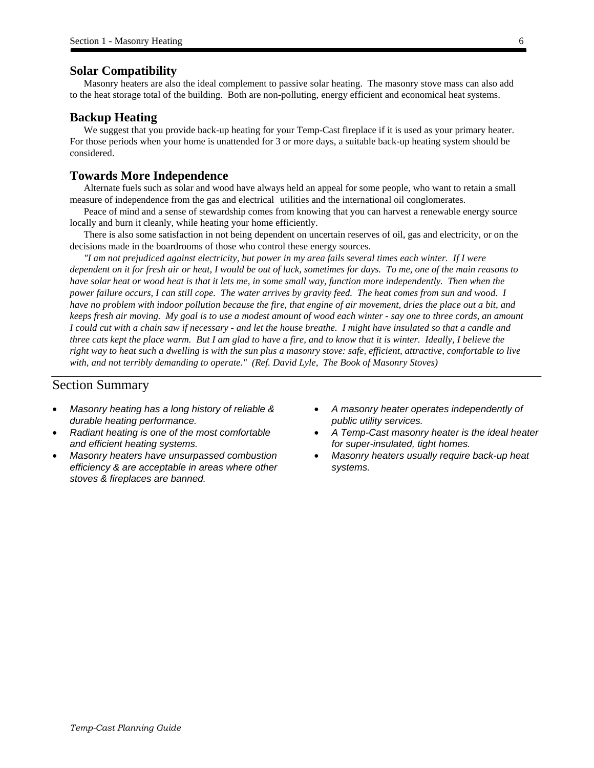#### **Solar Compatibility**

Masonry heaters are also the ideal complement to passive solar heating. The masonry stove mass can also add to the heat storage total of the building. Both are non-polluting, energy efficient and economical heat systems.

#### **Backup Heating**

We suggest that you provide back-up heating for your Temp-Cast fireplace if it is used as your primary heater. For those periods when your home is unattended for 3 or more days, a suitable back-up heating system should be considered.

## **Towards More Independence**

Alternate fuels such as solar and wood have always held an appeal for some people, who want to retain a small measure of independence from the gas and electrical utilities and the international oil conglomerates.

Peace of mind and a sense of stewardship comes from knowing that you can harvest a renewable energy source locally and burn it cleanly, while heating your home efficiently.

There is also some satisfaction in not being dependent on uncertain reserves of oil, gas and electricity, or on the decisions made in the boardrooms of those who control these energy sources.

*"I am not prejudiced against electricity, but power in my area fails several times each winter. If I were dependent on it for fresh air or heat, I would be out of luck, sometimes for days. To me, one of the main reasons to have solar heat or wood heat is that it lets me, in some small way, function more independently. Then when the power failure occurs, I can still cope. The water arrives by gravity feed. The heat comes from sun and wood. I have no problem with indoor pollution because the fire, that engine of air movement, dries the place out a bit, and keeps fresh air moving. My goal is to use a modest amount of wood each winter - say one to three cords, an amount I could cut with a chain saw if necessary - and let the house breathe. I might have insulated so that a candle and three cats kept the place warm. But I am glad to have a fire, and to know that it is winter. Ideally, I believe the right way to heat such a dwelling is with the sun plus a masonry stove: safe, efficient, attractive, comfortable to live with, and not terribly demanding to operate." (Ref. David Lyle, The Book of Masonry Stoves)* 

### Section Summary

 $\overline{\phantom{a}}$ 

- *Masonry heating has a long history of reliable & durable heating performance.*
- *Radiant heating is one of the most comfortable and efficient heating systems.*
- *Masonry heaters have unsurpassed combustion efficiency & are acceptable in areas where other stoves & fireplaces are banned.*
- *A masonry heater operates independently of public utility services.*
- *A Temp-Cast masonry heater is the ideal heater for super-insulated, tight homes.*
- *Masonry heaters usually require back-up heat systems.*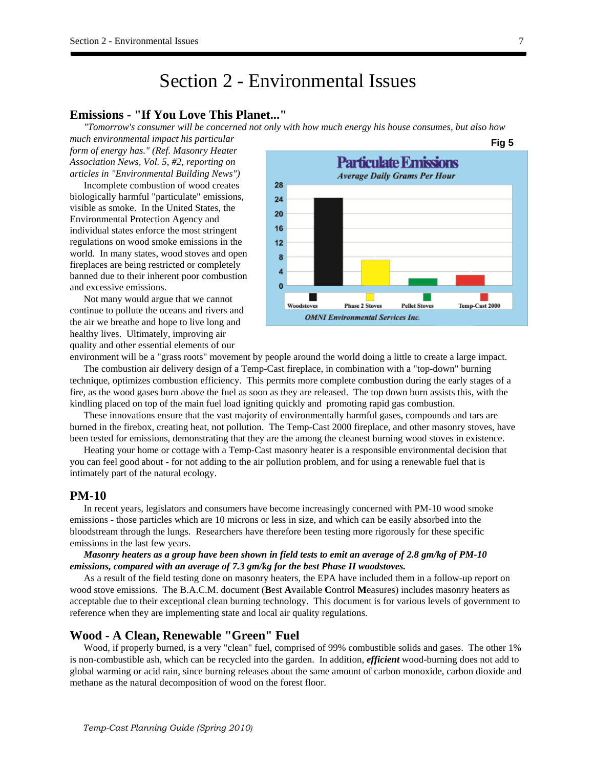## Section 2 - Environmental Issues

## **Emissions - "If You Love This Planet..."**

*"Tomorrow's consumer will be concerned not only with how much energy his house consumes, but also how* 

*much environmental impact his particular form of energy has." (Ref. Masonry Heater Association News, Vol. 5, #2, reporting on articles in "Environmental Building News")* 

Incomplete combustion of wood creates biologically harmful "particulate" emissions, visible as smoke. In the United States, the Environmental Protection Agency and individual states enforce the most stringent regulations on wood smoke emissions in the world. In many states, wood stoves and open fireplaces are being restricted or completely banned due to their inherent poor combustion and excessive emissions.

Not many would argue that we cannot continue to pollute the oceans and rivers and the air we breathe and hope to live long and healthy lives. Ultimately, improving air quality and other essential elements of our



environment will be a "grass roots" movement by people around the world doing a little to create a large impact.

The combustion air delivery design of a Temp-Cast fireplace, in combination with a "top-down" burning technique, optimizes combustion efficiency. This permits more complete combustion during the early stages of a fire, as the wood gases burn above the fuel as soon as they are released. The top down burn assists this, with the kindling placed on top of the main fuel load igniting quickly and promoting rapid gas combustion.

These innovations ensure that the vast majority of environmentally harmful gases, compounds and tars are burned in the firebox, creating heat, not pollution. The Temp-Cast 2000 fireplace, and other masonry stoves, have been tested for emissions, demonstrating that they are the among the cleanest burning wood stoves in existence.

Heating your home or cottage with a Temp-Cast masonry heater is a responsible environmental decision that you can feel good about - for not adding to the air pollution problem, and for using a renewable fuel that is intimately part of the natural ecology.

## **PM-10**

In recent years, legislators and consumers have become increasingly concerned with PM-10 wood smoke emissions - those particles which are 10 microns or less in size, and which can be easily absorbed into the bloodstream through the lungs. Researchers have therefore been testing more rigorously for these specific emissions in the last few years.

#### *Masonry heaters as a group have been shown in field tests to emit an average of 2.8 gm/kg of PM-10 emissions, compared with an average of 7.3 gm/kg for the best Phase II woodstoves.*

As a result of the field testing done on masonry heaters, the EPA have included them in a follow-up report on wood stove emissions. The B.A.C.M. document (**B**est **A**vailable **C**ontrol **M**easures) includes masonry heaters as acceptable due to their exceptional clean burning technology. This document is for various levels of government to reference when they are implementing state and local air quality regulations.

#### **Wood - A Clean, Renewable "Green" Fuel**

Wood, if properly burned, is a very "clean" fuel, comprised of 99% combustible solids and gases. The other 1% is non-combustible ash, which can be recycled into the garden. In addition, *efficient* wood-burning does not add to global warming or acid rain, since burning releases about the same amount of carbon monoxide, carbon dioxide and methane as the natural decomposition of wood on the forest floor.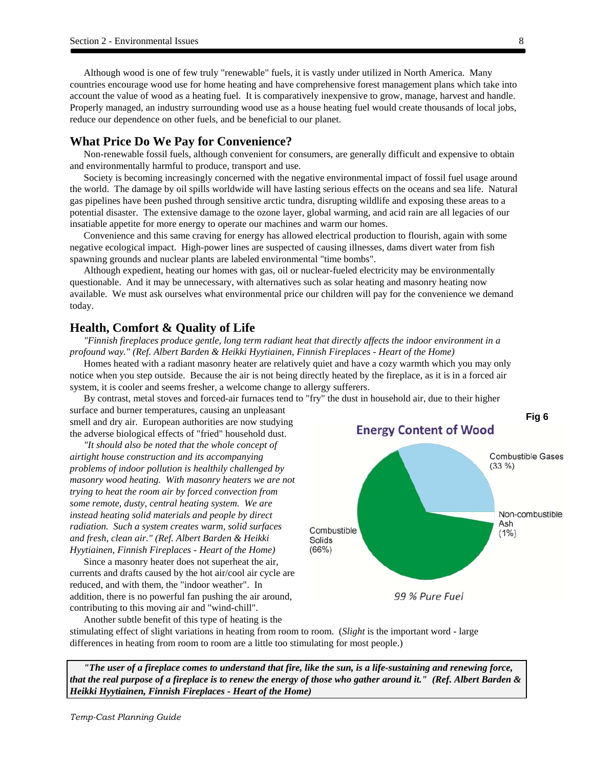Although wood is one of few truly "renewable" fuels, it is vastly under utilized in North America. Many countries encourage wood use for home heating and have comprehensive forest management plans which take into account the value of wood as a heating fuel. It is comparatively inexpensive to grow, manage, harvest and handle. Properly managed, an industry surrounding wood use as a house heating fuel would create thousands of local jobs, reduce our dependence on other fuels, and be beneficial to our planet.

#### **What Price Do We Pay for Convenience?**

Non-renewable fossil fuels, although convenient for consumers, are generally difficult and expensive to obtain and environmentally harmful to produce, transport and use.

Society is becoming increasingly concerned with the negative environmental impact of fossil fuel usage around the world. The damage by oil spills worldwide will have lasting serious effects on the oceans and sea life. Natural gas pipelines have been pushed through sensitive arctic tundra, disrupting wildlife and exposing these areas to a potential disaster. The extensive damage to the ozone layer, global warming, and acid rain are all legacies of our insatiable appetite for more energy to operate our machines and warm our homes.

Convenience and this same craving for energy has allowed electrical production to flourish, again with some negative ecological impact. High-power lines are suspected of causing illnesses, dams divert water from fish spawning grounds and nuclear plants are labeled environmental "time bombs".

Although expedient, heating our homes with gas, oil or nuclear-fueled electricity may be environmentally questionable. And it may be unnecessary, with alternatives such as solar heating and masonry heating now available. We must ask ourselves what environmental price our children will pay for the convenience we demand today.

#### **Health, Comfort & Quality of Life**

*"Finnish fireplaces produce gentle, long term radiant heat that directly affects the indoor environment in a profound way." (Ref. Albert Barden & Heikki Hyytiainen, Finnish Fireplaces - Heart of the Home)* 

Homes heated with a radiant masonry heater are relatively quiet and have a cozy warmth which you may only notice when you step outside. Because the air is not being directly heated by the fireplace, as it is in a forced air system, it is cooler and seems fresher, a welcome change to allergy sufferers.

By contrast, metal stoves and forced-air furnaces tend to "fry" the dust in household air, due to their higher surface and burner temperatures, causing an unpleasant smell and dry air. European authorities are now studying the adverse biological effects of "fried" household dust.

*"It should also be noted that the whole concept of airtight house construction and its accompanying problems of indoor pollution is healthily challenged by masonry wood heating. With masonry heaters we are not trying to heat the room air by forced convection from some remote, dusty, central heating system. We are instead heating solid materials and people by direct radiation. Such a system creates warm, solid surfaces and fresh, clean air." (Ref. Albert Barden & Heikki Hyytiainen, Finnish Fireplaces - Heart of the Home)* 

Since a masonry heater does not superheat the air, currents and drafts caused by the hot air/cool air cycle are reduced, and with them, the "indoor weather". In addition, there is no powerful fan pushing the air around, contributing to this moving air and "wind-chill".

Another subtle benefit of this type of heating is the



stimulating effect of slight variations in heating from room to room. (*Slight* is the important word - large differences in heating from room to room are a little too stimulating for most people.)

*"The user of a fireplace comes to understand that fire, like the sun, is a life-sustaining and renewing force, that the real purpose of a fireplace is to renew the energy of those who gather around it." (Ref. Albert Barden & Heikki Hyytiainen, Finnish Fireplaces - Heart of the Home)*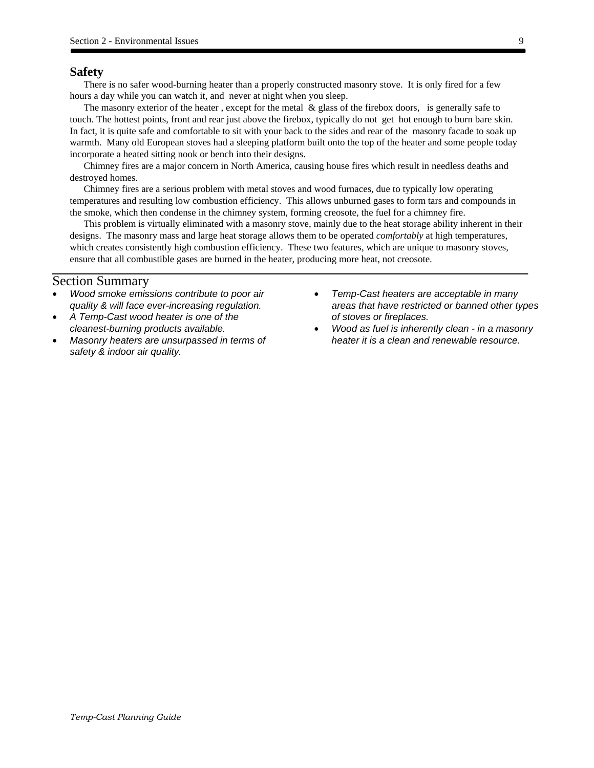### **Safety**

There is no safer wood-burning heater than a properly constructed masonry stove. It is only fired for a few hours a day while you can watch it, and never at night when you sleep.

The masonry exterior of the heater , except for the metal & glass of the firebox doors, is generally safe to touch. The hottest points, front and rear just above the firebox, typically do not get hot enough to burn bare skin. In fact, it is quite safe and comfortable to sit with your back to the sides and rear of the masonry facade to soak up warmth. Many old European stoves had a sleeping platform built onto the top of the heater and some people today incorporate a heated sitting nook or bench into their designs.

Chimney fires are a major concern in North America, causing house fires which result in needless deaths and destroyed homes.

Chimney fires are a serious problem with metal stoves and wood furnaces, due to typically low operating temperatures and resulting low combustion efficiency. This allows unburned gases to form tars and compounds in the smoke, which then condense in the chimney system, forming creosote, the fuel for a chimney fire.

This problem is virtually eliminated with a masonry stove, mainly due to the heat storage ability inherent in their designs. The masonry mass and large heat storage allows them to be operated *comfortably* at high temperatures, which creates consistently high combustion efficiency. These two features, which are unique to masonry stoves, ensure that all combustible gases are burned in the heater, producing more heat, not creosote.

#### Section Summary

- *Wood smoke emissions contribute to poor air quality & will face ever-increasing regulation.*
- *A Temp-Cast wood heater is one of the cleanest-burning products available.*
- *Masonry heaters are unsurpassed in terms of safety & indoor air quality.*
- *Temp-Cast heaters are acceptable in many areas that have restricted or banned other types of stoves or fireplaces.*
- *Wood as fuel is inherently clean in a masonry heater it is a clean and renewable resource.*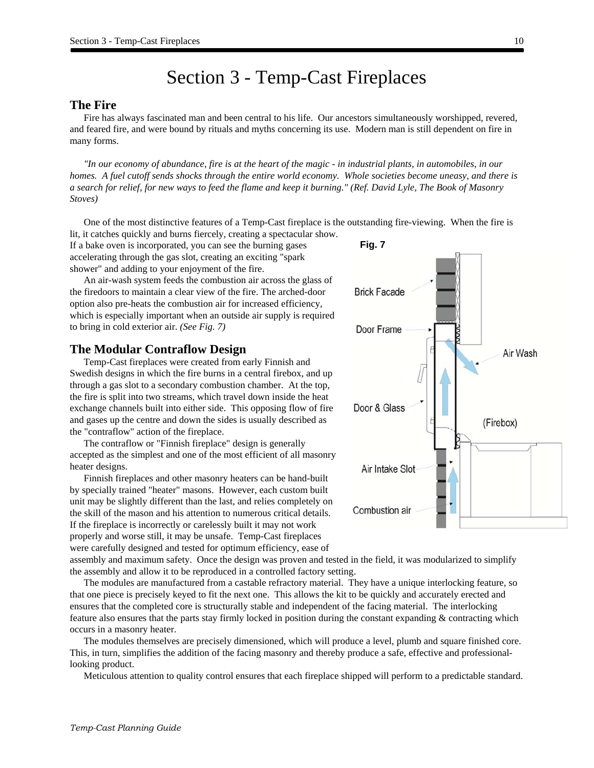# Section 3 - Temp-Cast Fireplaces

#### **The Fire**

Fire has always fascinated man and been central to his life. Our ancestors simultaneously worshipped, revered, and feared fire, and were bound by rituals and myths concerning its use. Modern man is still dependent on fire in many forms.

*"In our economy of abundance, fire is at the heart of the magic - in industrial plants, in automobiles, in our homes. A fuel cutoff sends shocks through the entire world economy. Whole societies become uneasy, and there is a search for relief, for new ways to feed the flame and keep it burning." (Ref. David Lyle, The Book of Masonry Stoves)* 

One of the most distinctive features of a Temp-Cast fireplace is the outstanding fire-viewing. When the fire is lit, it catches quickly and burns fiercely, creating a spectacular show.

If a bake oven is incorporated, you can see the burning gases accelerating through the gas slot, creating an exciting "spark shower" and adding to your enjoyment of the fire.

An air-wash system feeds the combustion air across the glass of the firedoors to maintain a clear view of the fire. The arched-door option also pre-heats the combustion air for increased efficiency, which is especially important when an outside air supply is required to bring in cold exterior air. *(See Fig. 7)*

#### **The Modular Contraflow Design**

Temp-Cast fireplaces were created from early Finnish and Swedish designs in which the fire burns in a central firebox, and up through a gas slot to a secondary combustion chamber. At the top, the fire is split into two streams, which travel down inside the heat exchange channels built into either side. This opposing flow of fire and gases up the centre and down the sides is usually described as the "contraflow" action of the fireplace.

The contraflow or "Finnish fireplace" design is generally accepted as the simplest and one of the most efficient of all masonry heater designs.

Finnish fireplaces and other masonry heaters can be hand-built by specially trained "heater" masons. However, each custom built unit may be slightly different than the last, and relies completely on the skill of the mason and his attention to numerous critical details. If the fireplace is incorrectly or carelessly built it may not work properly and worse still, it may be unsafe. Temp-Cast fireplaces were carefully designed and tested for optimum efficiency, ease of

assembly and maximum safety. Once the design was proven and tested in the field, it was modularized to simplify the assembly and allow it to be reproduced in a controlled factory setting.

The modules are manufactured from a castable refractory material. They have a unique interlocking feature, so that one piece is precisely keyed to fit the next one. This allows the kit to be quickly and accurately erected and ensures that the completed core is structurally stable and independent of the facing material. The interlocking feature also ensures that the parts stay firmly locked in position during the constant expanding & contracting which occurs in a masonry heater.

The modules themselves are precisely dimensioned, which will produce a level, plumb and square finished core. This, in turn, simplifies the addition of the facing masonry and thereby produce a safe, effective and professionallooking product.

Meticulous attention to quality control ensures that each fireplace shipped will perform to a predictable standard.

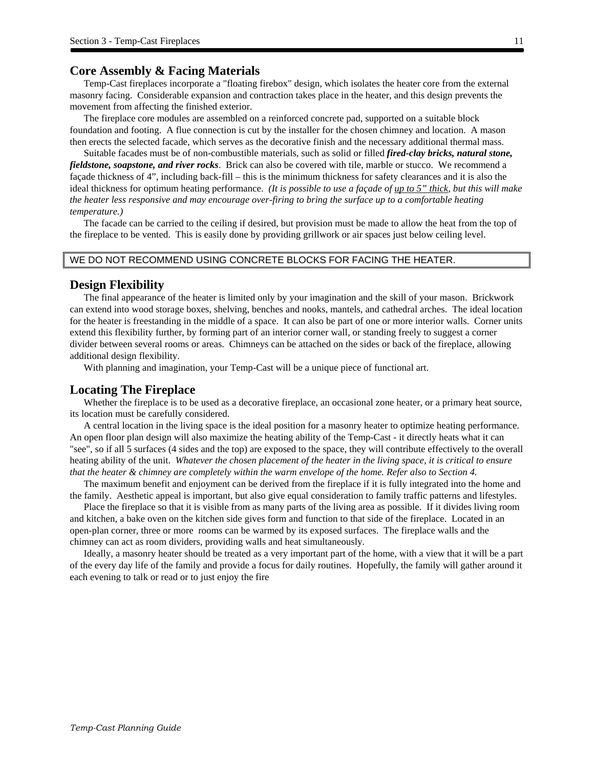#### **Core Assembly & Facing Materials**

Temp-Cast fireplaces incorporate a "floating firebox" design, which isolates the heater core from the external masonry facing. Considerable expansion and contraction takes place in the heater, and this design prevents the movement from affecting the finished exterior.

The fireplace core modules are assembled on a reinforced concrete pad, supported on a suitable block foundation and footing. A flue connection is cut by the installer for the chosen chimney and location. A mason then erects the selected facade, which serves as the decorative finish and the necessary additional thermal mass.

Suitable facades must be of non-combustible materials, such as solid or filled *fired-clay bricks, natural stone, fieldstone, soapstone, and river rocks*. Brick can also be covered with tile, marble or stucco. We recommend a façade thickness of 4", including back-fill – this is the minimum thickness for safety clearances and it is also the ideal thickness for optimum heating performance. *(It is possible to use a façade of up to 5" thick, but this will make the heater less responsive and may encourage over-firing to bring the surface up to a comfortable heating temperature.)*

The facade can be carried to the ceiling if desired, but provision must be made to allow the heat from the top of the fireplace to be vented. This is easily done by providing grillwork or air spaces just below ceiling level.

#### WE DO NOT RECOMMEND USING CONCRETE BLOCKS FOR FACING THE HEATER.

#### **Design Flexibility**

The final appearance of the heater is limited only by your imagination and the skill of your mason. Brickwork can extend into wood storage boxes, shelving, benches and nooks, mantels, and cathedral arches. The ideal location for the heater is freestanding in the middle of a space. It can also be part of one or more interior walls. Corner units extend this flexibility further, by forming part of an interior corner wall, or standing freely to suggest a corner divider between several rooms or areas. Chimneys can be attached on the sides or back of the fireplace, allowing additional design flexibility.

With planning and imagination, your Temp-Cast will be a unique piece of functional art.

#### **Locating The Fireplace**

Whether the fireplace is to be used as a decorative fireplace, an occasional zone heater, or a primary heat source, its location must be carefully considered.

A central location in the living space is the ideal position for a masonry heater to optimize heating performance. An open floor plan design will also maximize the heating ability of the Temp-Cast - it directly heats what it can "see", so if all 5 surfaces (4 sides and the top) are exposed to the space, they will contribute effectively to the overall heating ability of the unit. *Whatever the chosen placement of the heater in the living space, it is critical to ensure that the heater & chimney are completely within the warm envelope of the home. Refer also to Section 4.* 

The maximum benefit and enjoyment can be derived from the fireplace if it is fully integrated into the home and the family. Aesthetic appeal is important, but also give equal consideration to family traffic patterns and lifestyles.

Place the fireplace so that it is visible from as many parts of the living area as possible. If it divides living room and kitchen, a bake oven on the kitchen side gives form and function to that side of the fireplace. Located in an open-plan corner, three or more rooms can be warmed by its exposed surfaces. The fireplace walls and the chimney can act as room dividers, providing walls and heat simultaneously.

Ideally, a masonry heater should be treated as a very important part of the home, with a view that it will be a part of the every day life of the family and provide a focus for daily routines. Hopefully, the family will gather around it each evening to talk or read or to just enjoy the fire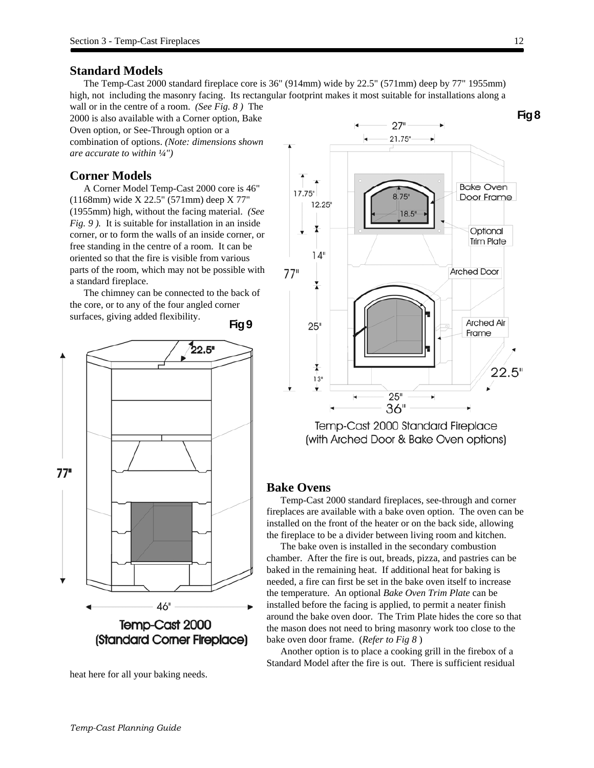## **Standard Models**

The Temp-Cast 2000 standard fireplace core is 36" (914mm) wide by 22.5" (571mm) deep by 77" 1955mm) high, not including the masonry facing. Its rectangular footprint makes it most suitable for installations along a

wall or in the centre of a room. *(See Fig. 8 )* The 2000 is also available with a Corner option, Bake Oven option, or See-Through option or a combination of options. *(Note: dimensions shown are accurate to within ¼")* 

## **Corner Models**

A Corner Model Temp-Cast 2000 core is 46" (1168mm) wide X 22.5" (571mm) deep X 77" (1955mm) high, without the facing material. *(See Fig. 9 ).* It is suitable for installation in an inside corner, or to form the walls of an inside corner, or free standing in the centre of a room. It can be oriented so that the fire is visible from various parts of the room, which may not be possible with a standard fireplace.

The chimney can be connected to the back of the core, or to any of the four angled corner surfaces, giving added flexibility.







 $27"$ 

(with Arched Door & Bake Oven options)

#### **Bake Ovens**

Temp-Cast 2000 standard fireplaces, see-through and corner fireplaces are available with a bake oven option. The oven can be installed on the front of the heater or on the back side, allowing the fireplace to be a divider between living room and kitchen.

The bake oven is installed in the secondary combustion chamber. After the fire is out, breads, pizza, and pastries can be baked in the remaining heat. If additional heat for baking is needed, a fire can first be set in the bake oven itself to increase the temperature. An optional *Bake Oven Trim Plate* can be installed before the facing is applied, to permit a neater finish around the bake oven door. The Trim Plate hides the core so that the mason does not need to bring masonry work too close to the bake oven door frame. (*Refer to Fig 8* )

Another option is to place a cooking grill in the firebox of a Standard Model after the fire is out. There is sufficient residual

**Fig 8**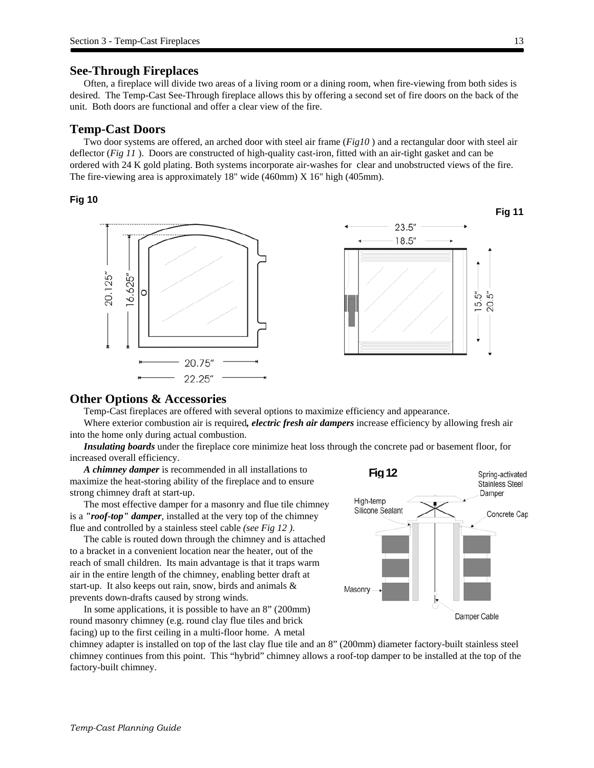#### **See-Through Fireplaces**

Often, a fireplace will divide two areas of a living room or a dining room, when fire-viewing from both sides is desired. The Temp-Cast See-Through fireplace allows this by offering a second set of fire doors on the back of the unit. Both doors are functional and offer a clear view of the fire.

#### **Temp-Cast Doors**

Two door systems are offered, an arched door with steel air frame (*Fig10* ) and a rectangular door with steel air deflector (*Fig 11* ). Doors are constructed of high-quality cast-iron, fitted with an air-tight gasket and can be ordered with 24 K gold plating. Both systems incorporate air-washes for clear and unobstructed views of the fire. The fire-viewing area is approximately 18" wide (460mm) X 16" high (405mm).

#### **Fig 10**



## **Other Options & Accessories**

Temp-Cast fireplaces are offered with several options to maximize efficiency and appearance.

Where exterior combustion air is required*, electric fresh air dampers* increase efficiency by allowing fresh air into the home only during actual combustion.

*Insulating boards* under the fireplace core minimize heat loss through the concrete pad or basement floor, for increased overall efficiency.

*A chimney damper* is recommended in all installations to maximize the heat-storing ability of the fireplace and to ensure strong chimney draft at start-up.

The most effective damper for a masonry and flue tile chimney is a *"roof-top" damper*, installed at the very top of the chimney flue and controlled by a stainless steel cable *(see Fig 12 )*.

The cable is routed down through the chimney and is attached to a bracket in a convenient location near the heater, out of the reach of small children. Its main advantage is that it traps warm air in the entire length of the chimney, enabling better draft at start-up. It also keeps out rain, snow, birds and animals & prevents down-drafts caused by strong winds.

In some applications, it is possible to have an 8" (200mm) round masonry chimney (e.g. round clay flue tiles and brick facing) up to the first ceiling in a multi-floor home. A metal



chimney adapter is installed on top of the last clay flue tile and an 8" (200mm) diameter factory-built stainless steel chimney continues from this point. This "hybrid" chimney allows a roof-top damper to be installed at the top of the factory-built chimney.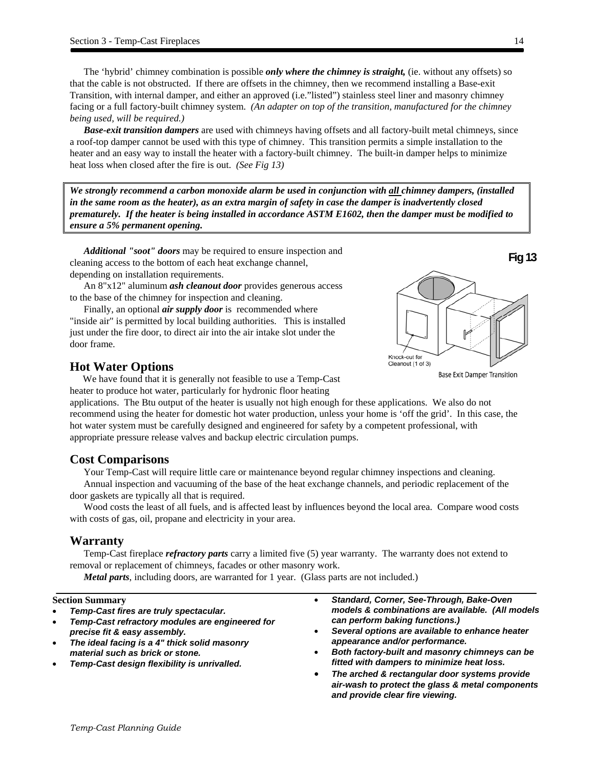The 'hybrid' chimney combination is possible *only where the chimney is straight,* (ie. without any offsets) so that the cable is not obstructed. If there are offsets in the chimney, then we recommend installing a Base-exit Transition, with internal damper, and either an approved (i.e."listed") stainless steel liner and masonry chimney facing or a full factory-built chimney system. *(An adapter on top of the transition, manufactured for the chimney being used, will be required.)* 

*Base-exit transition dampers* are used with chimneys having offsets and all factory-built metal chimneys, since a roof-top damper cannot be used with this type of chimney. This transition permits a simple installation to the heater and an easy way to install the heater with a factory-built chimney. The built-in damper helps to minimize heat loss when closed after the fire is out. *(See Fig 13)*

*We strongly recommend a carbon monoxide alarm be used in conjunction with all chimney dampers, (installed in the same room as the heater), as an extra margin of safety in case the damper is inadvertently closed prematurely. If the heater is being installed in accordance ASTM E1602, then the damper must be modified to ensure a 5% permanent opening.* 

*Additional "soot" doors* may be required to ensure inspection and cleaning access to the bottom of each heat exchange channel, depending on installation requirements.

An 8"x12" aluminum *ash cleanout door* provides generous access to the base of the chimney for inspection and cleaning.

Finally, an optional *air supply door* is recommended where "inside air" is permitted by local building authorities. This is installed just under the fire door, to direct air into the air intake slot under the door frame.

## **Hot Water Options**

We have found that it is generally not feasible to use a Temp-Cast heater to produce hot water, particularly for hydronic floor heating

applications. The Btu output of the heater is usually not high enough for these applications. We also do not recommend using the heater for domestic hot water production, unless your home is 'off the grid'. In this case, the hot water system must be carefully designed and engineered for safety by a competent professional, with appropriate pressure release valves and backup electric circulation pumps.

## **Cost Comparisons**

Your Temp-Cast will require little care or maintenance beyond regular chimney inspections and cleaning.

Annual inspection and vacuuming of the base of the heat exchange channels, and periodic replacement of the door gaskets are typically all that is required.

Wood costs the least of all fuels, and is affected least by influences beyond the local area. Compare wood costs with costs of gas, oil, propane and electricity in your area.

### **Warranty**

Temp-Cast fireplace *refractory parts* carry a limited five (5) year warranty. The warranty does not extend to removal or replacement of chimneys, facades or other masonry work.

*Metal parts*, including doors, are warranted for 1 year. (Glass parts are not included.)

#### **Section Summary**

- *Temp-Cast fires are truly spectacular.*
- *Temp-Cast refractory modules are engineered for precise fit & easy assembly.*
- *The ideal facing is a 4" thick solid masonry material such as brick or stone.*
- *Temp-Cast design flexibility is unrivalled.*
- *Standard, Corner, See-Through, Bake-Oven models & combinations are available. (All models can perform baking functions.)*
- *Several options are available to enhance heater appearance and/or performance.*
- *Both factory-built and masonry chimneys can be fitted with dampers to minimize heat loss.*
- *The arched & rectangular door systems provide air-wash to protect the glass & metal components and provide clear fire viewing.*

Knock-out for Cleanout (1 of 3)

**Base Exit Damper Transition** 

**Fig 13**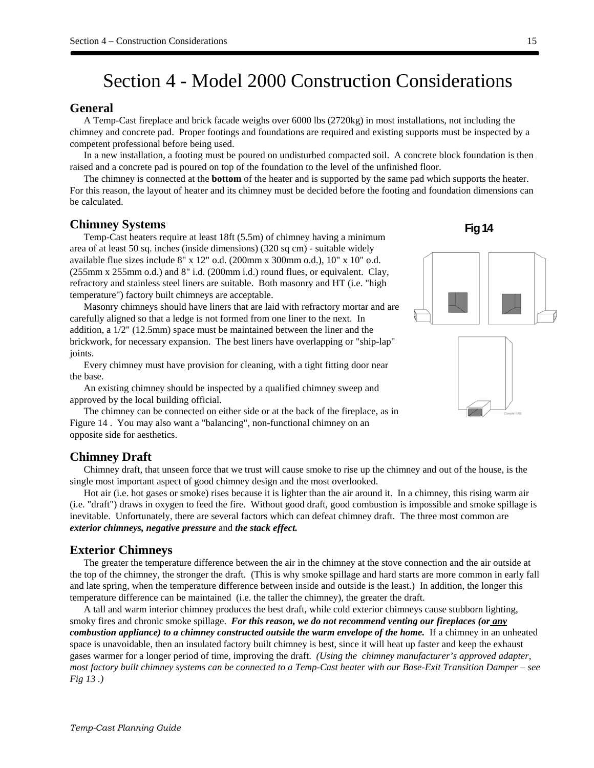## Section 4 - Model 2000 Construction Considerations

### **General**

A Temp-Cast fireplace and brick facade weighs over 6000 lbs (2720kg) in most installations, not including the chimney and concrete pad. Proper footings and foundations are required and existing supports must be inspected by a competent professional before being used.

In a new installation, a footing must be poured on undisturbed compacted soil. A concrete block foundation is then raised and a concrete pad is poured on top of the foundation to the level of the unfinished floor.

The chimney is connected at the **bottom** of the heater and is supported by the same pad which supports the heater. For this reason, the layout of heater and its chimney must be decided before the footing and foundation dimensions can be calculated.

#### **Chimney Systems**

Temp-Cast heaters require at least 18ft (5.5m) of chimney having a minimum area of at least 50 sq. inches (inside dimensions) (320 sq cm) - suitable widely available flue sizes include 8" x 12" o.d. (200mm x 300mm o.d.), 10" x 10" o.d. (255mm x 255mm o.d.) and 8" i.d. (200mm i.d.) round flues, or equivalent. Clay, refractory and stainless steel liners are suitable. Both masonry and HT (i.e. "high temperature") factory built chimneys are acceptable.

Masonry chimneys should have liners that are laid with refractory mortar and are carefully aligned so that a ledge is not formed from one liner to the next. In addition, a 1/2" (12.5mm) space must be maintained between the liner and the brickwork, for necessary expansion. The best liners have overlapping or "ship-lap" joints.

Every chimney must have provision for cleaning, with a tight fitting door near the base.

An existing chimney should be inspected by a qualified chimney sweep and approved by the local building official.

The chimney can be connected on either side or at the back of the fireplace, as in Figure 14 . You may also want a "balancing", non-functional chimney on an opposite side for aesthetics.

#### **Chimney Draft**

Chimney draft, that unseen force that we trust will cause smoke to rise up the chimney and out of the house, is the single most important aspect of good chimney design and the most overlooked.

Hot air (i.e. hot gases or smoke) rises because it is lighter than the air around it. In a chimney, this rising warm air (i.e. "draft") draws in oxygen to feed the fire. Without good draft, good combustion is impossible and smoke spillage is inevitable. Unfortunately, there are several factors which can defeat chimney draft. The three most common are *exterior chimneys, negative pressure* and *the stack effect.*

#### **Exterior Chimneys**

The greater the temperature difference between the air in the chimney at the stove connection and the air outside at the top of the chimney, the stronger the draft. (This is why smoke spillage and hard starts are more common in early fall and late spring, when the temperature difference between inside and outside is the least.) In addition, the longer this temperature difference can be maintained (i.e. the taller the chimney), the greater the draft.

A tall and warm interior chimney produces the best draft, while cold exterior chimneys cause stubborn lighting, smoky fires and chronic smoke spillage. *For this reason, we do not recommend venting our fireplaces (or any combustion appliance) to a chimney constructed outside the warm envelope of the home.* If a chimney in an unheated space is unavoidable, then an insulated factory built chimney is best, since it will heat up faster and keep the exhaust gases warmer for a longer period of time, improving the draft. *(Using the chimney manufacturer's approved adapter, most factory built chimney systems can be connected to a Temp-Cast heater with our Base-Exit Transition Damper – see Fig 13 .)*



**Fig 14**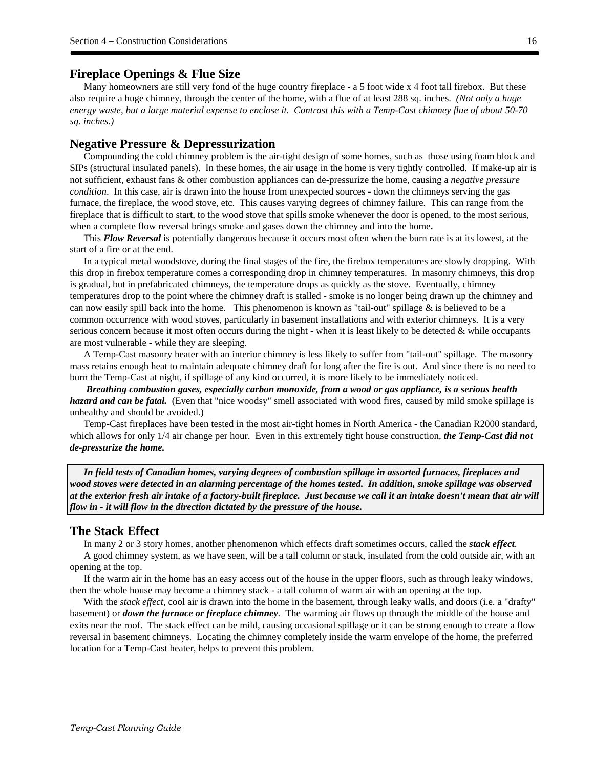#### **Fireplace Openings & Flue Size**

Many homeowners are still very fond of the huge country fireplace - a 5 foot wide x 4 foot tall firebox. But these also require a huge chimney, through the center of the home, with a flue of at least 288 sq. inches. *(Not only a huge energy waste, but a large material expense to enclose it. Contrast this with a Temp-Cast chimney flue of about 50-70 sq. inches.)* 

#### **Negative Pressure & Depressurization**

Compounding the cold chimney problem is the air-tight design of some homes, such as those using foam block and SIPs (structural insulated panels). In these homes, the air usage in the home is very tightly controlled. If make-up air is not sufficient, exhaust fans & other combustion appliances can de-pressurize the home, causing a *negative pressure condition*. In this case, air is drawn into the house from unexpected sources - down the chimneys serving the gas furnace, the fireplace, the wood stove, etc. This causes varying degrees of chimney failure. This can range from the fireplace that is difficult to start, to the wood stove that spills smoke whenever the door is opened, to the most serious, when a complete flow reversal brings smoke and gases down the chimney and into the home**.** 

This *Flow Reversal* is potentially dangerous because it occurs most often when the burn rate is at its lowest, at the start of a fire or at the end.

In a typical metal woodstove, during the final stages of the fire, the firebox temperatures are slowly dropping. With this drop in firebox temperature comes a corresponding drop in chimney temperatures. In masonry chimneys, this drop is gradual, but in prefabricated chimneys, the temperature drops as quickly as the stove. Eventually, chimney temperatures drop to the point where the chimney draft is stalled - smoke is no longer being drawn up the chimney and can now easily spill back into the home. This phenomenon is known as "tail-out" spillage  $\&$  is believed to be a common occurrence with wood stoves, particularly in basement installations and with exterior chimneys. It is a very serious concern because it most often occurs during the night - when it is least likely to be detected & while occupants are most vulnerable - while they are sleeping.

A Temp-Cast masonry heater with an interior chimney is less likely to suffer from "tail-out" spillage. The masonry mass retains enough heat to maintain adequate chimney draft for long after the fire is out. And since there is no need to burn the Temp-Cast at night, if spillage of any kind occurred, it is more likely to be immediately noticed.

 *Breathing combustion gases, especially carbon monoxide, from a wood or gas appliance, is a serious health hazard and can be fatal.* (Even that "nice woodsy" smell associated with wood fires, caused by mild smoke spillage is unhealthy and should be avoided.)

Temp-Cast fireplaces have been tested in the most air-tight homes in North America - the Canadian R2000 standard, which allows for only 1/4 air change per hour. Even in this extremely tight house construction, *the Temp-Cast did not de-pressurize the home.* 

*In field tests of Canadian homes, varying degrees of combustion spillage in assorted furnaces, fireplaces and wood stoves were detected in an alarming percentage of the homes tested. In addition, smoke spillage was observed at the exterior fresh air intake of a factory-built fireplace. Just because we call it an intake doesn't mean that air will flow in - it will flow in the direction dictated by the pressure of the house.* 

#### **The Stack Effect**

In many 2 or 3 story homes, another phenomenon which effects draft sometimes occurs, called the *stack effect*.

A good chimney system, as we have seen, will be a tall column or stack, insulated from the cold outside air, with an opening at the top.

If the warm air in the home has an easy access out of the house in the upper floors, such as through leaky windows, then the whole house may become a chimney stack - a tall column of warm air with an opening at the top.

With the *stack effect*, cool air is drawn into the home in the basement, through leaky walls, and doors (i.e. a "drafty" basement) or *down the furnace or fireplace chimney.* The warming air flows up through the middle of the house and exits near the roof. The stack effect can be mild, causing occasional spillage or it can be strong enough to create a flow reversal in basement chimneys. Locating the chimney completely inside the warm envelope of the home, the preferred location for a Temp-Cast heater, helps to prevent this problem.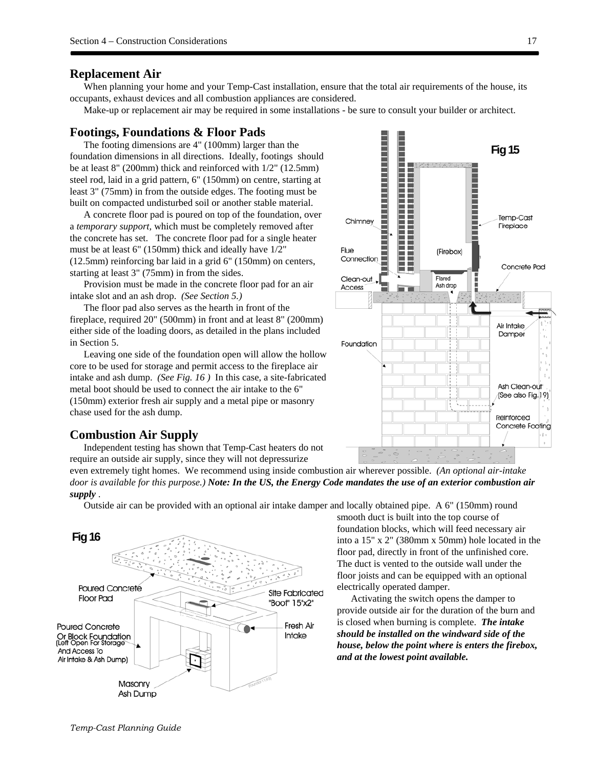#### **Replacement Air**

When planning your home and your Temp-Cast installation, ensure that the total air requirements of the house, its occupants, exhaust devices and all combustion appliances are considered.

Make-up or replacement air may be required in some installations - be sure to consult your builder or architect.

#### **Footings, Foundations & Floor Pads**

The footing dimensions are 4" (100mm) larger than the foundation dimensions in all directions. Ideally, footings should be at least 8" (200mm) thick and reinforced with 1/2" (12.5mm) steel rod, laid in a grid pattern, 6" (150mm) on centre, starting at least 3" (75mm) in from the outside edges. The footing must be built on compacted undisturbed soil or another stable material.

A concrete floor pad is poured on top of the foundation, over a *temporary support,* which must be completely removed after the concrete has set. The concrete floor pad for a single heater must be at least 6" (150mm) thick and ideally have 1/2" (12.5mm) reinforcing bar laid in a grid 6" (150mm) on centers, starting at least 3" (75mm) in from the sides.

Provision must be made in the concrete floor pad for an air intake slot and an ash drop. *(See Section 5.)*

The floor pad also serves as the hearth in front of the fireplace, required 20" (500mm) in front and at least 8" (200mm) either side of the loading doors, as detailed in the plans included in Section 5.

Leaving one side of the foundation open will allow the hollow core to be used for storage and permit access to the fireplace air intake and ash dump. *(See Fig. 16 )* In this case, a site-fabricated metal boot should be used to connect the air intake to the 6" (150mm) exterior fresh air supply and a metal pipe or masonry chase used for the ash dump.

#### **Combustion Air Supply**

Independent testing has shown that Temp-Cast heaters do not require an outside air supply, since they will not depressurize

even extremely tight homes. We recommend using inside combustion air wherever possible. *(An optional air-intake door is available for this purpose.) Note: In the US, the Energy Code mandates the use of an exterior combustion air supply* .

Outside air can be provided with an optional air intake damper and locally obtained pipe. A 6" (150mm) round



smooth duct is built into the top course of foundation blocks, which will feed necessary air into a 15" x 2" (380mm x 50mm) hole located in the floor pad, directly in front of the unfinished core. The duct is vented to the outside wall under the floor joists and can be equipped with an optional electrically operated damper.

Activating the switch opens the damper to provide outside air for the duration of the burn and is closed when burning is complete. *The intake should be installed on the windward side of the house, below the point where is enters the firebox, and at the lowest point available.* 

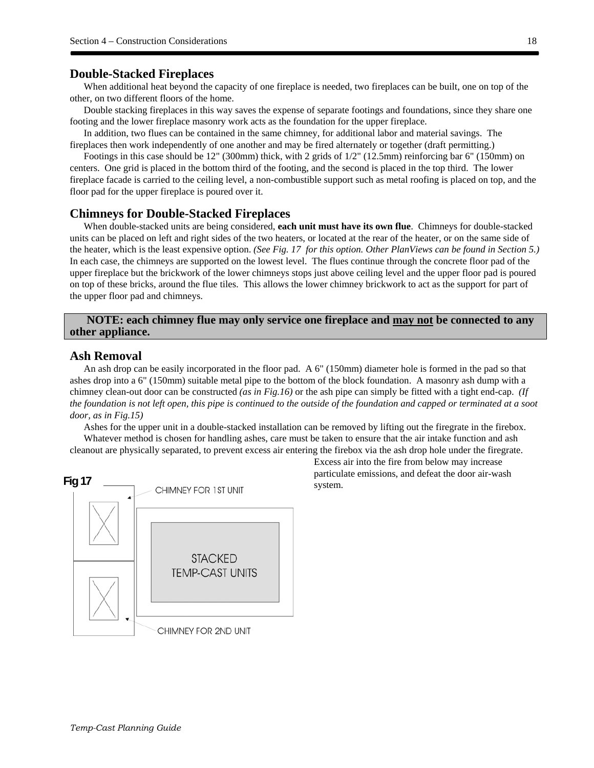### **Double-Stacked Fireplaces**

When additional heat beyond the capacity of one fireplace is needed, two fireplaces can be built, one on top of the other, on two different floors of the home.

Double stacking fireplaces in this way saves the expense of separate footings and foundations, since they share one footing and the lower fireplace masonry work acts as the foundation for the upper fireplace.

In addition, two flues can be contained in the same chimney, for additional labor and material savings. The fireplaces then work independently of one another and may be fired alternately or together (draft permitting.)

Footings in this case should be 12" (300mm) thick, with 2 grids of 1/2" (12.5mm) reinforcing bar 6" (150mm) on centers. One grid is placed in the bottom third of the footing, and the second is placed in the top third. The lower fireplace facade is carried to the ceiling level, a non-combustible support such as metal roofing is placed on top, and the floor pad for the upper fireplace is poured over it.

#### **Chimneys for Double-Stacked Fireplaces**

When double-stacked units are being considered, **each unit must have its own flue**. Chimneys for double-stacked units can be placed on left and right sides of the two heaters, or located at the rear of the heater, or on the same side of the heater, which is the least expensive option. *(See Fig. 17 for this option. Other PlanViews can be found in Section 5.)* In each case, the chimneys are supported on the lowest level. The flues continue through the concrete floor pad of the upper fireplace but the brickwork of the lower chimneys stops just above ceiling level and the upper floor pad is poured on top of these bricks, around the flue tiles. This allows the lower chimney brickwork to act as the support for part of the upper floor pad and chimneys.

## **NOTE: each chimney flue may only service one fireplace and may not be connected to any other appliance.**

#### **Ash Removal**

An ash drop can be easily incorporated in the floor pad. A 6" (150mm) diameter hole is formed in the pad so that ashes drop into a 6" (150mm) suitable metal pipe to the bottom of the block foundation. A masonry ash dump with a chimney clean-out door can be constructed *(as in Fig.16)* or the ash pipe can simply be fitted with a tight end-cap. *(If the foundation is not left open, this pipe is continued to the outside of the foundation and capped or terminated at a soot door, as in Fig.15)* 

Ashes for the upper unit in a double-stacked installation can be removed by lifting out the firegrate in the firebox. Whatever method is chosen for handling ashes, care must be taken to ensure that the air intake function and ash cleanout are physically separated, to prevent excess air entering the firebox via the ash drop hole under the firegrate.



Excess air into the fire from below may increase particulate emissions, and defeat the door air-wash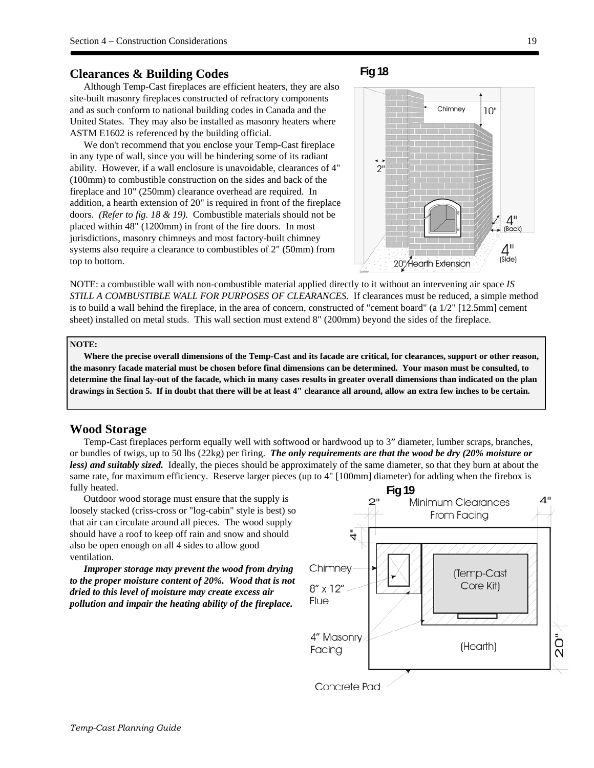#### **Clearances & Building Codes**

## Although Temp-Cast fireplaces are efficient heaters, they are also site-built masonry fireplaces constructed of refractory components and as such conform to national building codes in Canada and the United States. They may also be installed as masonry heaters where ASTM E1602 is referenced by the building official.

We don't recommend that you enclose your Temp-Cast fireplace in any type of wall, since you will be hindering some of its radiant ability. However, if a wall enclosure is unavoidable, clearances of 4" (100mm) to combustible construction on the sides and back of the fireplace and 10" (250mm) clearance overhead are required. In addition, a hearth extension of 20" is required in front of the fireplace doors. *(Refer to fig. 18 & 19).* Combustible materials should not be placed within 48" (1200mm) in front of the fire doors. In most jurisdictions, masonry chimneys and most factory-built chimney systems also require a clearance to combustibles of 2" (50mm) from top to bottom.





NOTE: a combustible wall with non-combustible material applied directly to it without an intervening air space *IS STILL A COMBUSTIBLE WALL FOR PURPOSES OF CLEARANCES.* If clearances must be reduced, a simple method is to build a wall behind the fireplace, in the area of concern, constructed of "cement board" (a 1/2" [12.5mm] cement sheet) installed on metal studs. This wall section must extend 8" (200mm) beyond the sides of the fireplace.

#### **NOTE:**

**Where the precise overall dimensions of the Temp-Cast and its facade are critical, for clearances, support or other reason, the masonry facade material must be chosen before final dimensions can be determined. Your mason must be consulted, to determine the final lay-out of the facade, which in many cases results in greater overall dimensions than indicated on the plan drawings in Section 5. If in doubt that there will be at least 4" clearance all around, allow an extra few inches to be certain.** 

#### **Wood Storage**

Temp-Cast fireplaces perform equally well with softwood or hardwood up to 3" diameter, lumber scraps, branches, or bundles of twigs, up to 50 lbs (22kg) per firing. *The only requirements are that the wood be dry (20% moisture or less) and suitably sized.* Ideally, the pieces should be approximately of the same diameter, so that they burn at about the same rate, for maximum efficiency. Reserve larger pieces (up to 4" [100mm] diameter) for adding when the firebox is fully heated.

Outdoor wood storage must ensure that the supply is loosely stacked (criss-cross or "log-cabin" style is best) so that air can circulate around all pieces. The wood supply should have a roof to keep off rain and snow and should also be open enough on all 4 sides to allow good ventilation.

*Improper storage may prevent the wood from drying to the proper moisture content of 20%. Wood that is not dried to this level of moisture may create excess air pollution and impair the heating ability of the fireplace.* 

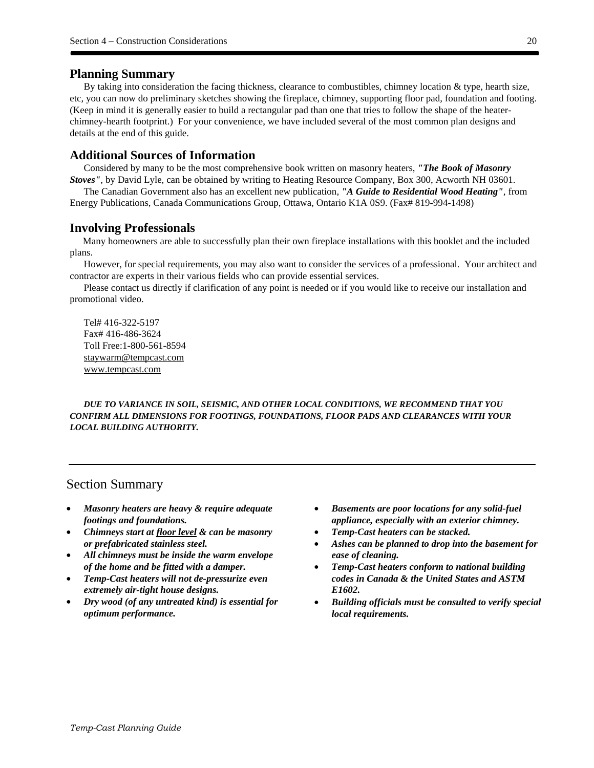### **Planning Summary**

By taking into consideration the facing thickness, clearance to combustibles, chimney location  $\&$  type, hearth size, etc, you can now do preliminary sketches showing the fireplace, chimney, supporting floor pad, foundation and footing. (Keep in mind it is generally easier to build a rectangular pad than one that tries to follow the shape of the heaterchimney-hearth footprint.) For your convenience, we have included several of the most common plan designs and details at the end of this guide.

## **Additional Sources of Information**

Considered by many to be the most comprehensive book written on masonry heaters, *"The Book of Masonry Stoves"*, by David Lyle, can be obtained by writing to Heating Resource Company, Box 300, Acworth NH 03601.

The Canadian Government also has an excellent new publication, *"A Guide to Residential Wood Heating"*, from Energy Publications, Canada Communications Group, Ottawa, Ontario K1A 0S9. (Fax# 819-994-1498)

### **Involving Professionals**

Many homeowners are able to successfully plan their own fireplace installations with this booklet and the included plans.

However, for special requirements, you may also want to consider the services of a professional. Your architect and contractor are experts in their various fields who can provide essential services.

Please contact us directly if clarification of any point is needed or if you would like to receive our installation and promotional video.

Tel# 416-322-5197 Fax# 416-486-3624 Toll Free:1-800-561-8594 staywarm@tempcast.com www.tempcast.com

*DUE TO VARIANCE IN SOIL, SEISMIC, AND OTHER LOCAL CONDITIONS, WE RECOMMEND THAT YOU CONFIRM ALL DIMENSIONS FOR FOOTINGS, FOUNDATIONS, FLOOR PADS AND CLEARANCES WITH YOUR LOCAL BUILDING AUTHORITY.* 

## Section Summary

- *Masonry heaters are heavy & require adequate footings and foundations.*
- *Chimneys start at floor level & can be masonry or prefabricated stainless steel.*
- *All chimneys must be inside the warm envelope of the home and be fitted with a damper.*
- *Temp-Cast heaters will not de-pressurize even extremely air-tight house designs.*
- *Dry wood (of any untreated kind) is essential for optimum performance.*
- *Basements are poor locations for any solid-fuel appliance, especially with an exterior chimney.*
- *Temp-Cast heaters can be stacked.*
- *Ashes can be planned to drop into the basement for ease of cleaning.*
- *Temp-Cast heaters conform to national building codes in Canada & the United States and ASTM E1602.*
- *Building officials must be consulted to verify special local requirements.*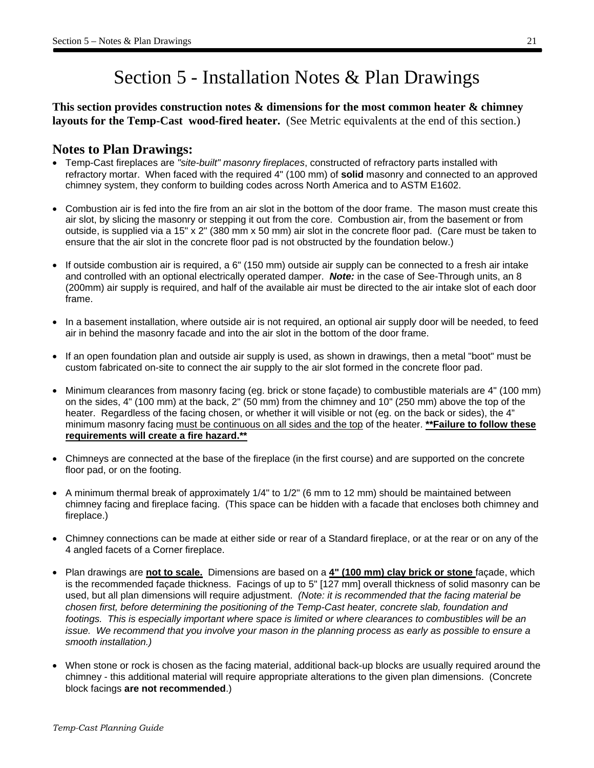## Section 5 - Installation Notes & Plan Drawings

**This section provides construction notes & dimensions for the most common heater & chimney layouts for the Temp-Cast wood-fired heater.** (See Metric equivalents at the end of this section.)

## **Notes to Plan Drawings:**

- Temp-Cast fireplaces are *"site-built" masonry fireplaces*, constructed of refractory parts installed with refractory mortar. When faced with the required 4" (100 mm) of **solid** masonry and connected to an approved chimney system, they conform to building codes across North America and to ASTM E1602.
- Combustion air is fed into the fire from an air slot in the bottom of the door frame. The mason must create this air slot, by slicing the masonry or stepping it out from the core. Combustion air, from the basement or from outside, is supplied via a 15" x 2" (380 mm x 50 mm) air slot in the concrete floor pad. (Care must be taken to ensure that the air slot in the concrete floor pad is not obstructed by the foundation below.)
- If outside combustion air is required, a 6" (150 mm) outside air supply can be connected to a fresh air intake and controlled with an optional electrically operated damper. *Note:* in the case of See-Through units, an 8 (200mm) air supply is required, and half of the available air must be directed to the air intake slot of each door frame.
- In a basement installation, where outside air is not required, an optional air supply door will be needed, to feed air in behind the masonry facade and into the air slot in the bottom of the door frame.
- If an open foundation plan and outside air supply is used, as shown in drawings, then a metal "boot" must be custom fabricated on-site to connect the air supply to the air slot formed in the concrete floor pad.
- Minimum clearances from masonry facing (eg. brick or stone façade) to combustible materials are 4" (100 mm) on the sides, 4" (100 mm) at the back, 2" (50 mm) from the chimney and 10" (250 mm) above the top of the heater. Regardless of the facing chosen, or whether it will visible or not (eg. on the back or sides), the 4" minimum masonry facing must be continuous on all sides and the top of the heater. **\*\*Failure to follow these requirements will create a fire hazard.\*\***
- Chimneys are connected at the base of the fireplace (in the first course) and are supported on the concrete floor pad, or on the footing.
- A minimum thermal break of approximately 1/4" to 1/2" (6 mm to 12 mm) should be maintained between chimney facing and fireplace facing. (This space can be hidden with a facade that encloses both chimney and fireplace.)
- Chimney connections can be made at either side or rear of a Standard fireplace, or at the rear or on any of the 4 angled facets of a Corner fireplace.
- Plan drawings are **not to scale.** Dimensions are based on a **4" (100 mm) clay brick or stone** façade, which is the recommended façade thickness. Facings of up to 5" [127 mm] overall thickness of solid masonry can be used, but all plan dimensions will require adjustment. *(Note: it is recommended that the facing material be chosen first, before determining the positioning of the Temp-Cast heater, concrete slab, foundation and*  footings. This is especially important where space is limited or where clearances to combustibles will be an *issue. We recommend that you involve your mason in the planning process as early as possible to ensure a smooth installation.)*
- When stone or rock is chosen as the facing material, additional back-up blocks are usually required around the chimney - this additional material will require appropriate alterations to the given plan dimensions. (Concrete block facings **are not recommended**.)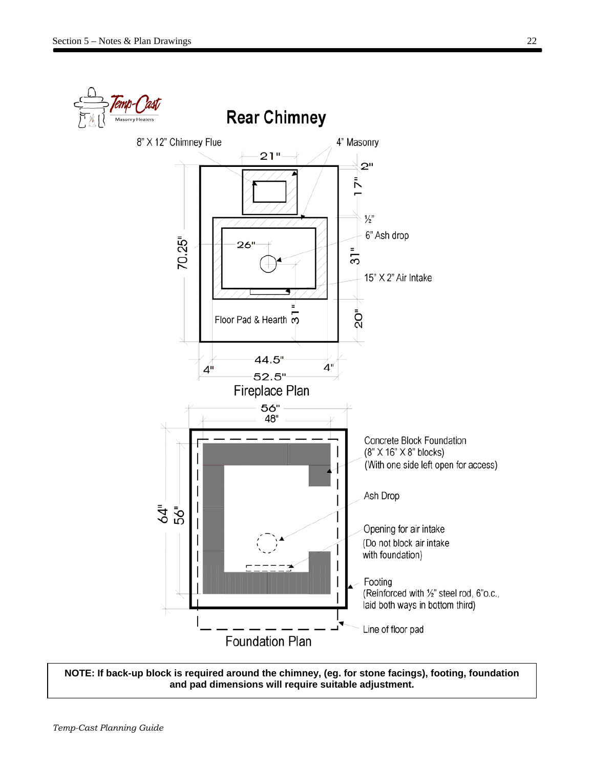

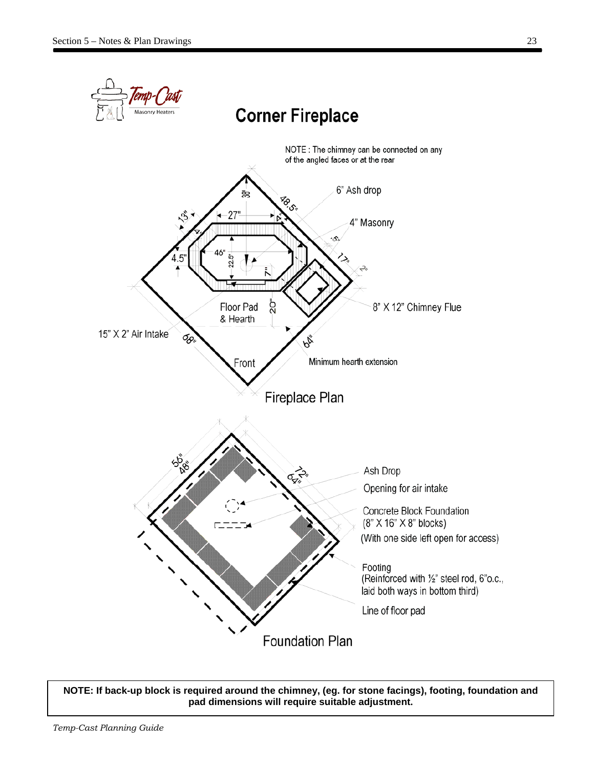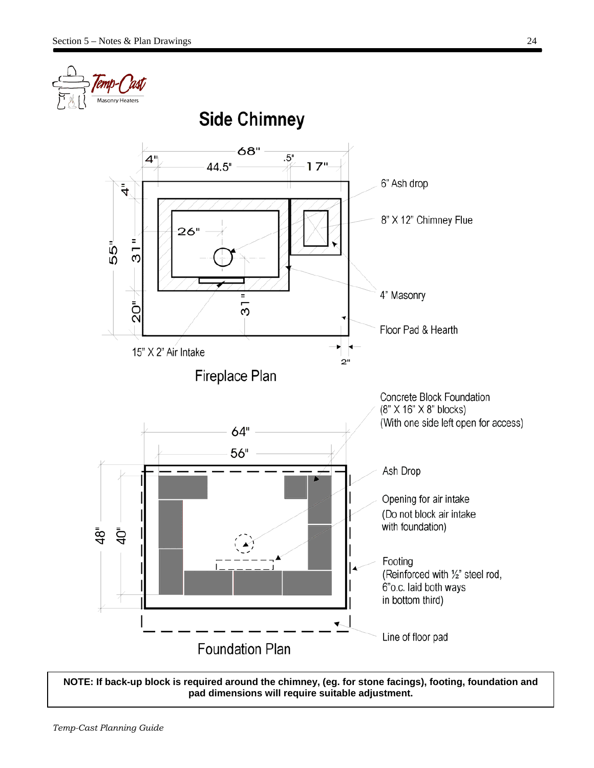

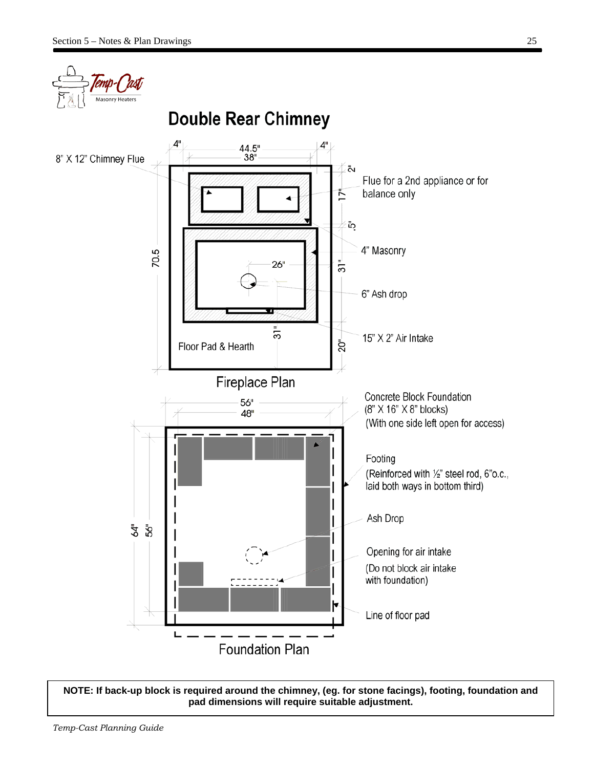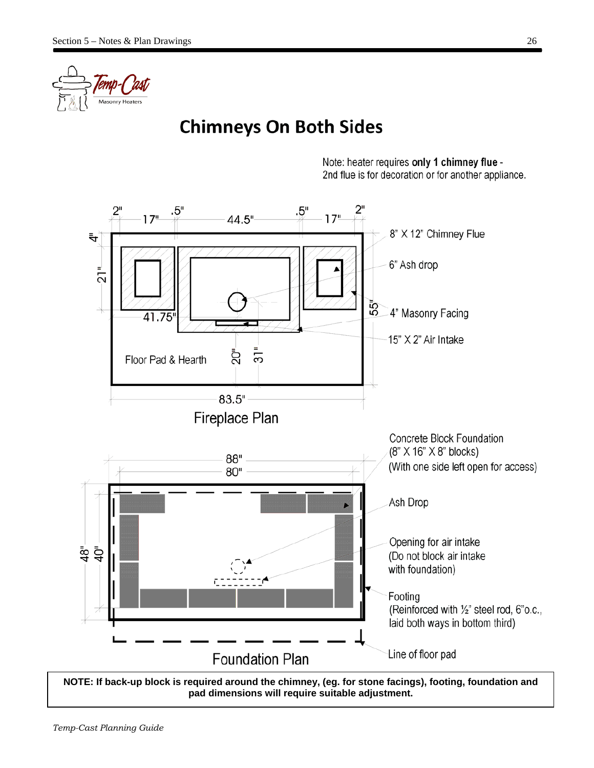

# **Chimneys On Both Sides**

Note: heater requires only 1 chimney flue -2nd flue is for decoration or for another appliance.

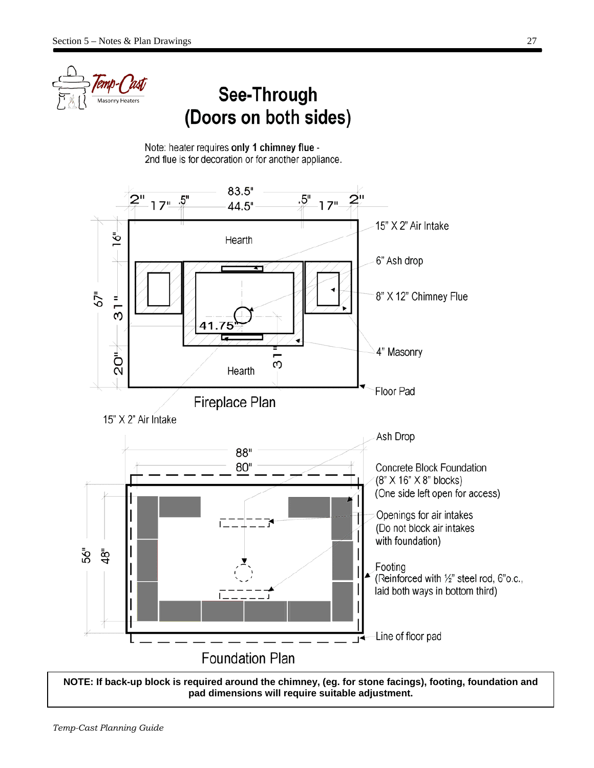

# See-Through (Doors on both sides)

Note: heater requires only 1 chimney flue -